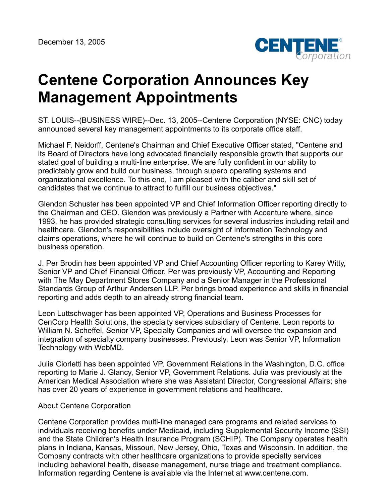

## **Centene Corporation Announces Key Management Appointments**

ST. LOUIS--(BUSINESS WIRE)--Dec. 13, 2005--Centene Corporation (NYSE: CNC) today announced several key management appointments to its corporate office staff.

Michael F. Neidorff, Centene's Chairman and Chief Executive Officer stated, "Centene and its Board of Directors have long advocated financially responsible growth that supports our stated goal of building a multi-line enterprise. We are fully confident in our ability to predictably grow and build our business, through superb operating systems and organizational excellence. To this end, I am pleased with the caliber and skill set of candidates that we continue to attract to fulfill our business objectives."

Glendon Schuster has been appointed VP and Chief Information Officer reporting directly to the Chairman and CEO. Glendon was previously a Partner with Accenture where, since 1993, he has provided strategic consulting services for several industries including retail and healthcare. Glendon's responsibilities include oversight of Information Technology and claims operations, where he will continue to build on Centene's strengths in this core business operation.

J. Per Brodin has been appointed VP and Chief Accounting Officer reporting to Karey Witty, Senior VP and Chief Financial Officer. Per was previously VP, Accounting and Reporting with The May Department Stores Company and a Senior Manager in the Professional Standards Group of Arthur Andersen LLP. Per brings broad experience and skills in financial reporting and adds depth to an already strong financial team.

Leon Luttschwager has been appointed VP, Operations and Business Processes for CenCorp Health Solutions, the specialty services subsidiary of Centene. Leon reports to William N. Scheffel, Senior VP, Specialty Companies and will oversee the expansion and integration of specialty company businesses. Previously, Leon was Senior VP, Information Technology with WebMD.

Julia Ciorletti has been appointed VP, Government Relations in the Washington, D.C. office reporting to Marie J. Glancy, Senior VP, Government Relations. Julia was previously at the American Medical Association where she was Assistant Director, Congressional Affairs; she has over 20 years of experience in government relations and healthcare.

## About Centene Corporation

Centene Corporation provides multi-line managed care programs and related services to individuals receiving benefits under Medicaid, including Supplemental Security Income (SSI) and the State Children's Health Insurance Program (SCHIP). The Company operates health plans in Indiana, Kansas, Missouri, New Jersey, Ohio, Texas and Wisconsin. In addition, the Company contracts with other healthcare organizations to provide specialty services including behavioral health, disease management, nurse triage and treatment compliance. Information regarding Centene is available via the Internet at www.centene.com.